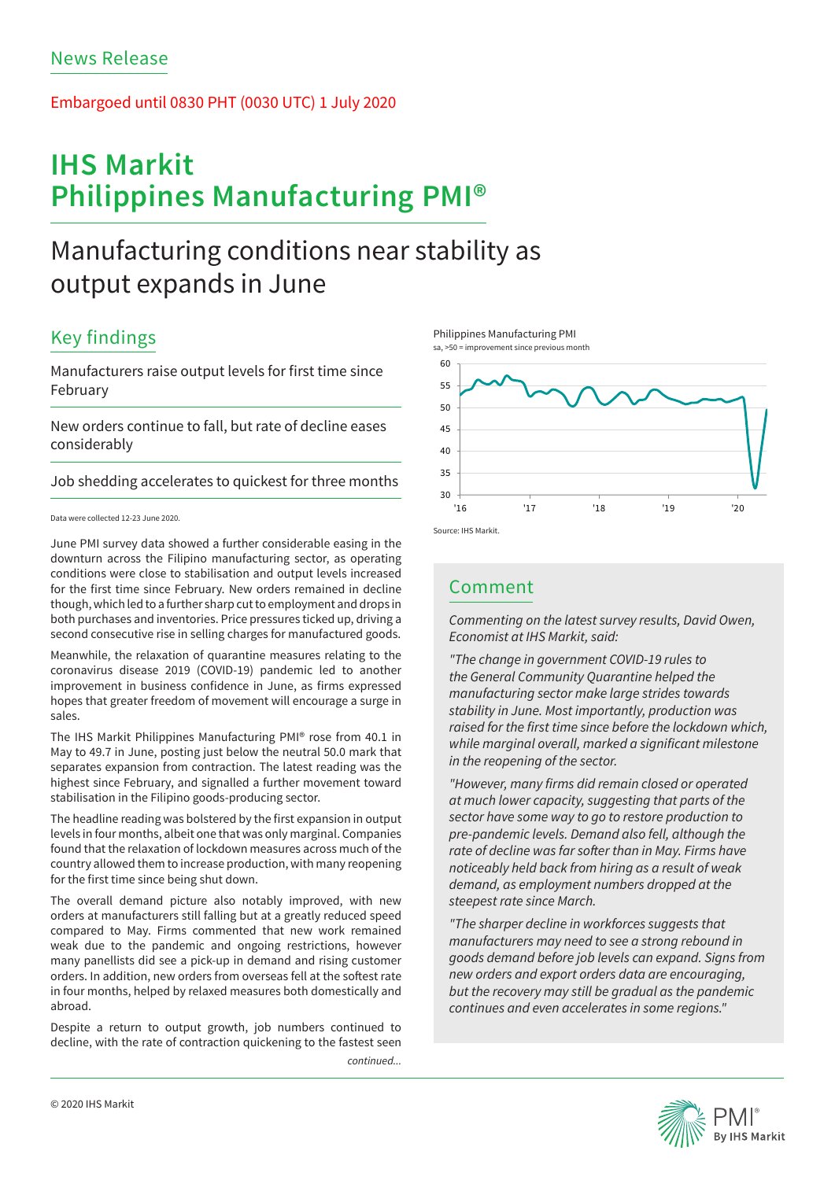### Embargoed until 0830 PHT (0030 UTC) 1 July 2020

# **IHS Markit Philippines Manufacturing PMI®**

## Manufacturing conditions near stability as output expands in June

### Key findings

Manufacturers raise output levels for first time since February

New orders continue to fall, but rate of decline eases considerably

Job shedding accelerates to quickest for three months

### Data were collected 12-23 June 2020.

June PMI survey data showed a further considerable easing in the downturn across the Filipino manufacturing sector, as operating conditions were close to stabilisation and output levels increased for the first time since February. New orders remained in decline though, which led to a further sharp cut to employment and drops in both purchases and inventories. Price pressures ticked up, driving a second consecutive rise in selling charges for manufactured goods.

Meanwhile, the relaxation of quarantine measures relating to the coronavirus disease 2019 (COVID-19) pandemic led to another improvement in business confidence in June, as firms expressed hopes that greater freedom of movement will encourage a surge in sales.

The IHS Markit Philippines Manufacturing PMI® rose from 40.1 in May to 49.7 in June, posting just below the neutral 50.0 mark that separates expansion from contraction. The latest reading was the highest since February, and signalled a further movement toward stabilisation in the Filipino goods-producing sector.

The headline reading was bolstered by the first expansion in output levels in four months, albeit one that was only marginal. Companies found that the relaxation of lockdown measures across much of the country allowed them to increase production, with many reopening for the first time since being shut down.

The overall demand picture also notably improved, with new orders at manufacturers still falling but at a greatly reduced speed compared to May. Firms commented that new work remained weak due to the pandemic and ongoing restrictions, however many panellists did see a pick-up in demand and rising customer orders. In addition, new orders from overseas fell at the softest rate in four months, helped by relaxed measures both domestically and abroad.

Despite a return to output growth, job numbers continued to decline, with the rate of contraction quickening to the fastest seen

*continued...*







### Comment

*Commenting on the latest survey results, David Owen, Economist at IHS Markit, said:* 

*"The change in government COVID-19 rules to the General Community Quarantine helped the manufacturing sector make large strides towards stability in June. Most importantly, production was*  raised for the first time since before the lockdown which, while marginal overall, marked a significant milestone *in the reopening of the sector.*

"However, many firms did remain closed or operated *at much lower capacity, suggesting that parts of the sector have some way to go to restore production to pre-pandemic levels. Demand also fell, although the*  rate of decline was far softer than in May. Firms have *noticeably held back from hiring as a result of weak demand, as employment numbers dropped at the steepest rate since March.*

*"The sharper decline in workforces suggests that manufacturers may need to see a strong rebound in goods demand before job levels can expand. Signs from new orders and export orders data are encouraging, but the recovery may still be gradual as the pandemic continues and even accelerates in some regions."*